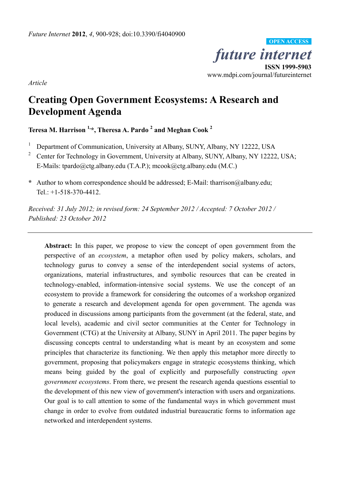*future internet*  **ISSN 1999-5903**  www.mdpi.com/journal/futureinternet **OPEN ACCESS**

*Article* 

# **Creating Open Government Ecosystems: A Research and Development Agenda**

**Teresa M. Harrison 1,\*, Theresa A. Pardo 2 and Meghan Cook <sup>2</sup>**

- 1 Department of Communication, University at Albany, SUNY, Albany, NY 12222, USA
- 2 Center for Technology in Government, University at Albany, SUNY, Albany, NY 12222, USA; E-Mails: tpardo@ctg.albany.edu (T.A.P.); mcook@ctg.albany.edu (M.C.)
- **\*** Author to whom correspondence should be addressed; E-Mail: tharrison@albany.edu; Tel.: +1-518-370-4412.

*Received: 31 July 2012; in revised form: 24 September 2012 / Accepted: 7 October 2012 / Published: 23 October 2012* 

**Abstract:** In this paper, we propose to view the concept of open government from the perspective of an *ecosystem*, a metaphor often used by policy makers, scholars, and technology gurus to convey a sense of the interdependent social systems of actors, organizations, material infrastructures, and symbolic resources that can be created in technology-enabled, information-intensive social systems. We use the concept of an ecosystem to provide a framework for considering the outcomes of a workshop organized to generate a research and development agenda for open government. The agenda was produced in discussions among participants from the government (at the federal, state, and local levels), academic and civil sector communities at the Center for Technology in Government (CTG) at the University at Albany, SUNY in April 2011. The paper begins by discussing concepts central to understanding what is meant by an ecosystem and some principles that characterize its functioning. We then apply this metaphor more directly to government, proposing that policymakers engage in strategic ecosystems thinking, which means being guided by the goal of explicitly and purposefully constructing *open government ecosystems*. From there, we present the research agenda questions essential to the development of this new view of government's interaction with users and organizations. Our goal is to call attention to some of the fundamental ways in which government must change in order to evolve from outdated industrial bureaucratic forms to information age networked and interdependent systems.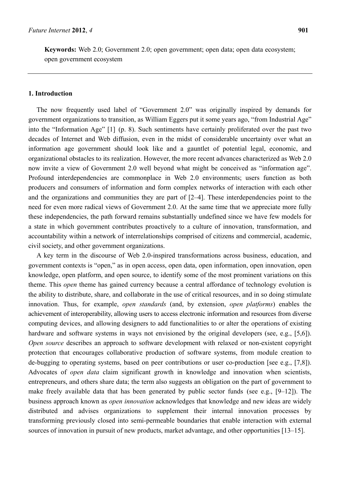**Keywords:** Web 2.0; Government 2.0; open government; open data; open data ecosystem; open government ecosystem

## **1. Introduction**

The now frequently used label of "Government 2.0" was originally inspired by demands for government organizations to transition, as William Eggers put it some years ago, "from Industrial Age" into the "Information Age" [1] (p. 8). Such sentiments have certainly proliferated over the past two decades of Internet and Web diffusion, even in the midst of considerable uncertainty over what an information age government should look like and a gauntlet of potential legal, economic, and organizational obstacles to its realization. However, the more recent advances characterized as Web 2.0 now invite a view of Government 2.0 well beyond what might be conceived as "information age". Profound interdependencies are commonplace in Web 2.0 environments; users function as both producers and consumers of information and form complex networks of interaction with each other and the organizations and communities they are part of [2–4]. These interdependencies point to the need for even more radical views of Government 2.0. At the same time that we appreciate more fully these independencies, the path forward remains substantially undefined since we have few models for a state in which government contributes proactively to a culture of innovation, transformation, and accountability within a network of interrelationships comprised of citizens and commercial, academic, civil society, and other government organizations.

A key term in the discourse of Web 2.0-inspired transformations across business, education, and government contexts is "open," as in open access, open data, open information, open innovation, open knowledge, open platform, and open source, to identify some of the most prominent variations on this theme. This *open* theme has gained currency because a central affordance of technology evolution is the ability to distribute, share, and collaborate in the use of critical resources, and in so doing stimulate innovation. Thus, for example, *open standards* (and, by extension, *open platforms*) enables the achievement of interoperability, allowing users to access electronic information and resources from diverse computing devices, and allowing designers to add functionalities to or alter the operations of existing hardware and software systems in ways not envisioned by the original developers (see, e.g., [5,6]). *Open source* describes an approach to software development with relaxed or non-existent copyright protection that encourages collaborative production of software systems, from module creation to de-bugging to operating systems, based on peer contributions or user co-production [see e.g., [7,8]). Advocates of *open data* claim significant growth in knowledge and innovation when scientists, entrepreneurs, and others share data; the term also suggests an obligation on the part of government to make freely available data that has been generated by public sector funds (see e.g., [9–12]). The business approach known as *open innovation* acknowledges that knowledge and new ideas are widely distributed and advises organizations to supplement their internal innovation processes by transforming previously closed into semi-permeable boundaries that enable interaction with external sources of innovation in pursuit of new products, market advantage, and other opportunities [13–15].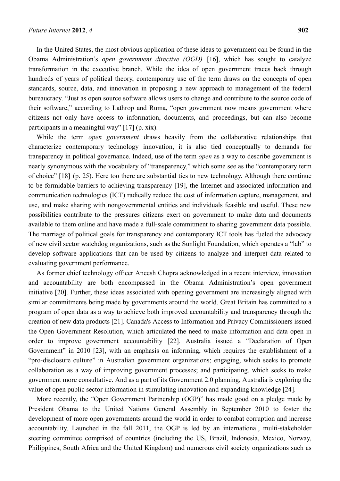In the United States, the most obvious application of these ideas to government can be found in the Obama Administration's *open government directive (OGD)* [16], which has sought to catalyze transformation in the executive branch. While the idea of open government traces back through hundreds of years of political theory, contemporary use of the term draws on the concepts of open standards, source, data, and innovation in proposing a new approach to management of the federal bureaucracy. "Just as open source software allows users to change and contribute to the source code of their software," according to Lathrop and Ruma, "open government now means government where citizens not only have access to information, documents, and proceedings, but can also become participants in a meaningful way" [17] (p. xix).

While the term *open government* draws heavily from the collaborative relationships that characterize contemporary technology innovation, it is also tied conceptually to demands for transparency in political governance. Indeed, use of the term *open* as a way to describe government is nearly synonymous with the vocabulary of "transparency," which some see as the "contemporary term of choice" [18] (p. 25). Here too there are substantial ties to new technology. Although there continue to be formidable barriers to achieving transparency [19], the Internet and associated information and communication technologies (ICT) radically reduce the cost of information capture, management, and use, and make sharing with nongovernmental entities and individuals feasible and useful. These new possibilities contribute to the pressures citizens exert on government to make data and documents available to them online and have made a full-scale commitment to sharing government data possible. The marriage of political goals for transparency and contemporary ICT tools has fueled the advocacy of new civil sector watchdog organizations, such as the Sunlight Foundation, which operates a "lab" to develop software applications that can be used by citizens to analyze and interpret data related to evaluating government performance.

As former chief technology officer Aneesh Chopra acknowledged in a recent interview, innovation and accountability are both encompassed in the Obama Administration's open government initiative [20]. Further, these ideas associated with opening government are increasingly aligned with similar commitments being made by governments around the world. Great Britain has committed to a program of open data as a way to achieve both improved accountability and transparency through the creation of new data products [21]. Canada's Access to Information and Privacy Commissioners issued the Open Government Resolution, which articulated the need to make information and data open in order to improve government accountability [22]. Australia issued a "Declaration of Open Government" in 2010 [23], with an emphasis on informing, which requires the establishment of a "pro-disclosure culture" in Australian government organizations; engaging, which seeks to promote collaboration as a way of improving government processes; and participating, which seeks to make government more consultative. And as a part of its Government 2.0 planning, Australia is exploring the value of open public sector information in stimulating innovation and expanding knowledge [24].

More recently, the "Open Government Partnership (OGP)" has made good on a pledge made by President Obama to the United Nations General Assembly in September 2010 to foster the development of more open governments around the world in order to combat corruption and increase accountability. Launched in the fall 2011, the OGP is led by an international, multi-stakeholder steering committee comprised of countries (including the US, Brazil, Indonesia, Mexico, Norway, Philippines, South Africa and the United Kingdom) and numerous civil society organizations such as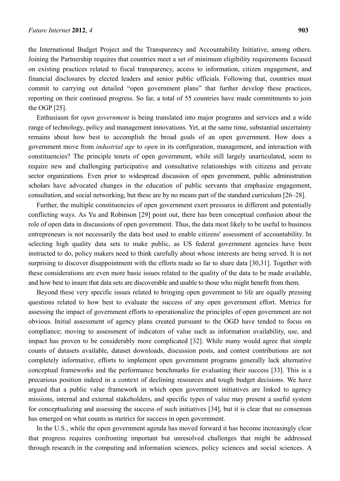the International Budget Project and the Transparency and Accountability Initiative, among others. Joining the Partnership requires that countries meet a set of minimum eligibility requirements focused on existing practices related to fiscal transparency, access to information, citizen engagement, and financial disclosures by elected leaders and senior public officials. Following that, countries must commit to carrying out detailed "open government plans" that further develop these practices, reporting on their continued progress. So far, a total of 55 countries have made commitments to join the OGP [25].

Enthusiasm for *open government* is being translated into major programs and services and a wide range of technology, policy and management innovations. Yet, at the same time, substantial uncertainty remains about how best to accomplish the broad goals of an open government. How does a government move from *industrial age* to *open* in its configuration, management, and interaction with constituencies? The principle tenets of open government, while still largely unarticulated, seem to require new and challenging participative and consultative relationships with citizens and private sector organizations. Even prior to widespread discussion of open government, public administration scholars have advocated changes in the education of public servants that emphasize engagement, consultation, and social networking, but these are by no means part of the standard curriculum [26–28].

Further, the multiple constituencies of open government exert pressures in different and potentially conflicting ways. As Yu and Robinson [29] point out, there has been conceptual confusion about the role of open data in discussions of open government. Thus, the data most likely to be useful to business entrepreneurs is not necessarily the data best used to enable citizens' assessment of accountability. In selecting high quality data sets to make public, as US federal government agencies have been instructed to do, policy makers need to think carefully about whose interests are being served. It is not surprising to discover disappointment with the efforts made so far to share data [30,31]. Together with these considerations are even more basic issues related to the quality of the data to be made available, and how best to insure that data sets are discoverable and usable to those who might benefit from them.

Beyond these very specific issues related to bringing open government to life are equally pressing questions related to how best to evaluate the success of any open government effort. Metrics for assessing the impact of government efforts to operationalize the principles of open government are not obvious. Initial assessment of agency plans created pursuant to the OGD have tended to focus on compliance; moving to assessment of indicators of value such as information availability, use, and impact has proven to be considerably more complicated [32]. While many would agree that simple counts of datasets available, dataset downloads, discussion posts, and contest contributions are not completely informative, efforts to implement open government programs generally lack alternative conceptual frameworks and the performance benchmarks for evaluating their success [33]. This is a precarious position indeed in a context of declining resources and tough budget decisions. We have argued that a public value framework in which open government initiatives are linked to agency missions, internal and external stakeholders, and specific types of value may present a useful system for conceptualizing and assessing the success of such initiatives [34], but it is clear that no consensus has emerged on what counts as metrics for success in open government.

In the U.S., while the open government agenda has moved forward it has become increasingly clear that progress requires confronting important but unresolved challenges that might be addressed through research in the computing and information sciences, policy sciences and social sciences. A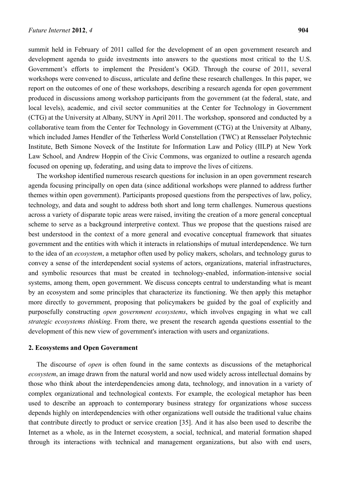summit held in February of 2011 called for the development of an open government research and development agenda to guide investments into answers to the questions most critical to the U.S. Government's efforts to implement the President's OGD. Through the course of 2011, several workshops were convened to discuss, articulate and define these research challenges. In this paper, we report on the outcomes of one of these workshops, describing a research agenda for open government produced in discussions among workshop participants from the government (at the federal, state, and local levels), academic, and civil sector communities at the Center for Technology in Government (CTG) at the University at Albany, SUNY in April 2011. The workshop, sponsored and conducted by a collaborative team from the Center for Technology in Government (CTG) at the University at Albany, which included James Hendler of the Tetherless World Constellation (TWC) at Rensselaer Polytechnic Institute, Beth Simone Noveck of the Institute for Information Law and Policy (IILP) at New York Law School, and Andrew Hoppin of the Civic Commons, was organized to outline a research agenda focused on opening up, federating, and using data to improve the lives of citizens.

The workshop identified numerous research questions for inclusion in an open government research agenda focusing principally on open data (since additional workshops were planned to address further themes within open government). Participants proposed questions from the perspectives of law, policy, technology, and data and sought to address both short and long term challenges. Numerous questions across a variety of disparate topic areas were raised, inviting the creation of a more general conceptual scheme to serve as a background interpretive context. Thus we propose that the questions raised are best understood in the context of a more general and evocative conceptual framework that situates government and the entities with which it interacts in relationships of mutual interdependence. We turn to the idea of an *ecosystem*, a metaphor often used by policy makers, scholars, and technology gurus to convey a sense of the interdependent social systems of actors, organizations, material infrastructures, and symbolic resources that must be created in technology-enabled, information-intensive social systems, among them, open government. We discuss concepts central to understanding what is meant by an ecosystem and some principles that characterize its functioning. We then apply this metaphor more directly to government, proposing that policymakers be guided by the goal of explicitly and purposefully constructing *open government ecosystems*, which involves engaging in what we call *strategic ecosystems thinking*. From there, we present the research agenda questions essential to the development of this new view of government's interaction with users and organizations.

## **2. Ecosystems and Open Government**

The discourse of *open* is often found in the same contexts as discussions of the metaphorical *ecosystem*, an image drawn from the natural world and now used widely across intellectual domains by those who think about the interdependencies among data, technology, and innovation in a variety of complex organizational and technological contexts. For example, the ecological metaphor has been used to describe an approach to contemporary business strategy for organizations whose success depends highly on interdependencies with other organizations well outside the traditional value chains that contribute directly to product or service creation [35]. And it has also been used to describe the Internet as a whole, as in the Internet ecosystem, a social, technical, and material formation shaped through its interactions with technical and management organizations, but also with end users,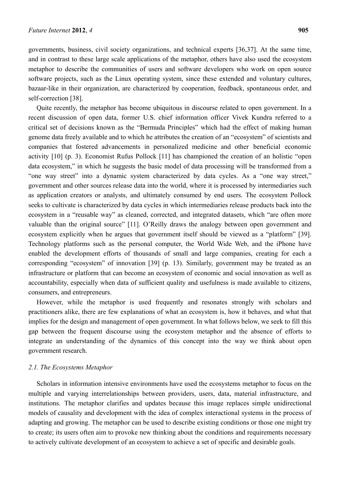governments, business, civil society organizations, and technical experts [36,37]. At the same time, and in contrast to these large scale applications of the metaphor, others have also used the ecosystem metaphor to describe the communities of users and software developers who work on open source software projects, such as the Linux operating system, since these extended and voluntary cultures, bazaar-like in their organization, are characterized by cooperation, feedback, spontaneous order, and self-correction [38].

Quite recently, the metaphor has become ubiquitous in discourse related to open government. In a recent discussion of open data, former U.S. chief information officer Vivek Kundra referred to a critical set of decisions known as the "Bermuda Principles" which had the effect of making human genome data freely available and to which he attributes the creation of an "ecosystem" of scientists and companies that fostered advancements in personalized medicine and other beneficial economic activity [10] (p. 3). Economist Rufus Pollock [11] has championed the creation of an holistic "open data ecosystem," in which he suggests the basic model of data processing will be transformed from a "one way street" into a dynamic system characterized by data cycles. As a "one way street," government and other sources release data into the world, where it is processed by intermediaries such as application creators or analysts, and ultimately consumed by end users. The ecosystem Pollock seeks to cultivate is characterized by data cycles in which intermediaries release products back into the ecosystem in a "reusable way" as cleaned, corrected, and integrated datasets, which "are often more valuable than the original source" [11]. O'Reilly draws the analogy between open government and ecosystem explicitly when he argues that government itself should be viewed as a "platform" [39]. Technology platforms such as the personal computer, the World Wide Web, and the iPhone have enabled the development efforts of thousands of small and large companies, creating for each a corresponding "ecosystem" of innovation [39] (p. 13). Similarly, government may be treated as an infrastructure or platform that can become an ecosystem of economic and social innovation as well as accountability, especially when data of sufficient quality and usefulness is made available to citizens, consumers, and entrepreneurs.

However, while the metaphor is used frequently and resonates strongly with scholars and practitioners alike, there are few explanations of what an ecosystem is, how it behaves, and what that implies for the design and management of open government. In what follows below, we seek to fill this gap between the frequent discourse using the ecosystem metaphor and the absence of efforts to integrate an understanding of the dynamics of this concept into the way we think about open government research.

#### *2.1. The Ecosystems Metaphor*

Scholars in information intensive environments have used the ecosystems metaphor to focus on the multiple and varying interrelationships between providers, users, data, material infrastructure, and institutions. The metaphor clarifies and updates because this image replaces simple unidirectional models of causality and development with the idea of complex interactional systems in the process of adapting and growing. The metaphor can be used to describe existing conditions or those one might try to create; its users often aim to provoke new thinking about the conditions and requirements necessary to actively cultivate development of an ecosystem to achieve a set of specific and desirable goals.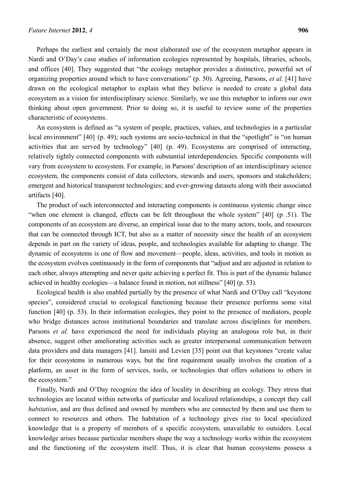Perhaps the earliest and certainly the most elaborated use of the ecosystem metaphor appears in Nardi and O'Day's case studies of information ecologies represented by hospitals, libraries, schools, and offices [40]. They suggested that "the ecology metaphor provides a distinctive, powerful set of organizing properties around which to have conversations" (p. 50). Agreeing, Parsons, *et al.* [41] have drawn on the ecological metaphor to explain what they believe is needed to create a global data ecosystem as a vision for interdisciplinary science. Similarly, we use this metaphor to inform our own thinking about open government. Prior to doing so, it is useful to review some of the properties characteristic of ecosystems.

An ecosystem is defined as "a system of people, practices, values, and technologies in a particular local environment" [40] (p. 49); such systems are socio-technical in that the "spotlight" is "on human activities that are served by technology" [40] (p. 49). Ecosystems are comprised of interacting, relatively tightly connected components with substantial interdependencies. Specific components will vary from ecosystem to ecosystem. For example, in Parsons' description of an interdisciplinary science ecosystem, the components consist of data collectors, stewards and users, sponsors and stakeholders; emergent and historical transparent technologies; and ever-growing datasets along with their associated artifacts [40].

The product of such interconnected and interacting components is continuous systemic change since "when one element is changed, effects can be felt throughout the whole system" [40] (p .51). The components of an ecosystem are diverse, an empirical issue due to the many actors, tools, and resources that can be connected through ICT, but also as a matter of necessity since the health of an ecosystem depends in part on the variety of ideas, people, and technologies available for adapting to change. The dynamic of ecosystems is one of flow and movement—people, ideas, activities, and tools in motion as the ecosystem evolves continuously in the form of components that "adjust and are adjusted in relation to each other, always attempting and never quite achieving a perfect fit. This is part of the dynamic balance achieved in healthy ecologies—a balance found in motion, not stillness" [40] (p. 53).

Ecological health is also enabled partially by the presence of what Nardi and O'Day call "keystone species", considered crucial to ecological functioning because their presence performs some vital function [40] (p. 53). In their information ecologies, they point to the presence of mediators, people who bridge distances across institutional boundaries and translate across disciplines for members. Parsons *et al.* have experienced the need for individuals playing an analogous role but, in their absence, suggest other ameliorating activities such as greater interpersonal communication between data providers and data managers [41]. Iansiti and Levien [35] point out that keystones "create value for their ecosystems in numerous ways, but the first requirement usually involves the creation of a platform, an asset in the form of services, tools, or technologies that offers solutions to others in the ecosystem."

Finally, Nardi and O'Day recognize the idea of locality in describing an ecology. They stress that technologies are located within networks of particular and localized relationships, a concept they call *habitation*, and are thus defined and owned by members who are connected by them and use them to connect to resources and others. The habitation of a technology gives rise to local specialized knowledge that is a property of members of a specific ecosystem, unavailable to outsiders. Local knowledge arises because particular members shape the way a technology works within the ecosystem and the functioning of the ecosystem itself. Thus, it is clear that human ecosystems possess a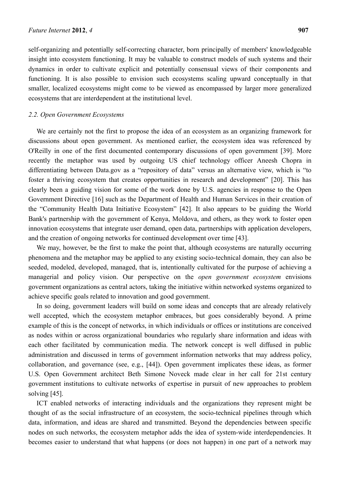self-organizing and potentially self-correcting character, born principally of members' knowledgeable insight into ecosystem functioning. It may be valuable to construct models of such systems and their dynamics in order to cultivate explicit and potentially consensual views of their components and functioning. It is also possible to envision such ecosystems scaling upward conceptually in that smaller, localized ecosystems might come to be viewed as encompassed by larger more generalized ecosystems that are interdependent at the institutional level.

#### *2.2. Open Government Ecosystems*

We are certainly not the first to propose the idea of an ecosystem as an organizing framework for discussions about open government. As mentioned earlier, the ecosystem idea was referenced by O'Reilly in one of the first documented contemporary discussions of open government [39]. More recently the metaphor was used by outgoing US chief technology officer Aneesh Chopra in differentiating between Data.gov as a "repository of data" versus an alternative view, which is "to foster a thriving ecosystem that creates opportunities in research and development" [20]. This has clearly been a guiding vision for some of the work done by U.S. agencies in response to the Open Government Directive [16] such as the Department of Health and Human Services in their creation of the "Community Health Data Initiative Ecosystem" [42]. It also appears to be guiding the World Bank's partnership with the government of Kenya, Moldova, and others, as they work to foster open innovation ecosystems that integrate user demand, open data, partnerships with application developers, and the creation of ongoing networks for continued development over time [43].

We may, however, be the first to make the point that, although ecosystems are naturally occurring phenomena and the metaphor may be applied to any existing socio-technical domain, they can also be seeded, modeled, developed, managed, that is, intentionally cultivated for the purpose of achieving a managerial and policy vision. Our perspective on the *open government ecosystem* envisions government organizations as central actors, taking the initiative within networked systems organized to achieve specific goals related to innovation and good government.

In so doing, government leaders will build on some ideas and concepts that are already relatively well accepted, which the ecosystem metaphor embraces, but goes considerably beyond. A prime example of this is the concept of networks, in which individuals or offices or institutions are conceived as nodes within or across organizational boundaries who regularly share information and ideas with each other facilitated by communication media. The network concept is well diffused in public administration and discussed in terms of government information networks that may address policy, collaboration, and governance (see, e.g., [44]). Open government implicates these ideas, as former U.S. Open Government architect Beth Simone Noveck made clear in her call for 21st century government institutions to cultivate networks of expertise in pursuit of new approaches to problem solving [45].

ICT enabled networks of interacting individuals and the organizations they represent might be thought of as the social infrastructure of an ecosystem, the socio-technical pipelines through which data, information, and ideas are shared and transmitted. Beyond the dependencies between specific nodes on such networks, the ecosystem metaphor adds the idea of system-wide interdependencies. It becomes easier to understand that what happens (or does not happen) in one part of a network may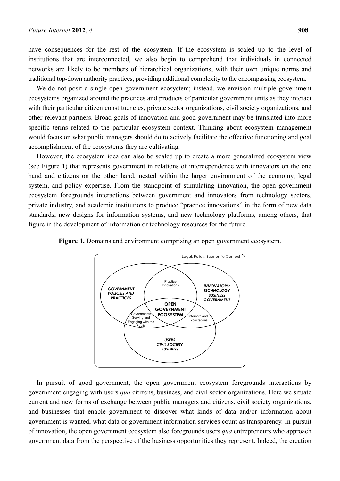have consequences for the rest of the ecosystem. If the ecosystem is scaled up to the level of institutions that are interconnected, we also begin to comprehend that individuals in connected networks are likely to be members of hierarchical organizations, with their own unique norms and traditional top-down authority practices, providing additional complexity to the encompassing ecosystem.

We do not posit a single open government ecosystem; instead, we envision multiple government ecosystems organized around the practices and products of particular government units as they interact with their particular citizen constituencies, private sector organizations, civil society organizations, and other relevant partners. Broad goals of innovation and good government may be translated into more specific terms related to the particular ecosystem context. Thinking about ecosystem management would focus on what public managers should do to actively facilitate the effective functioning and goal accomplishment of the ecosystems they are cultivating.

However, the ecosystem idea can also be scaled up to create a more generalized ecosystem view (see Figure 1) that represents government in relations of interdependence with innovators on the one hand and citizens on the other hand, nested within the larger environment of the economy, legal system, and policy expertise. From the standpoint of stimulating innovation, the open government ecosystem foregrounds interactions between government and innovators from technology sectors, private industry, and academic institutions to produce "practice innovations" in the form of new data standards, new designs for information systems, and new technology platforms, among others, that figure in the development of information or technology resources for the future.



**Figure 1.** Domains and environment comprising an open government ecosystem.

In pursuit of good government, the open government ecosystem foregrounds interactions by government engaging with users *qua* citizens, business, and civil sector organizations. Here we situate current and new forms of exchange between public managers and citizens, civil society organizations, and businesses that enable government to discover what kinds of data and/or information about government is wanted, what data or government information services count as transparency. In pursuit of innovation, the open government ecosystem also foregrounds users *qua* entrepreneurs who approach government data from the perspective of the business opportunities they represent. Indeed, the creation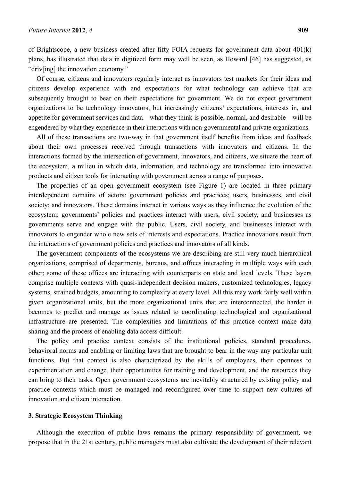of Brightscope, a new business created after fifty FOIA requests for government data about 401(k) plans, has illustrated that data in digitized form may well be seen, as Howard [46] has suggested, as "driv[ing] the innovation economy."

Of course, citizens and innovators regularly interact as innovators test markets for their ideas and citizens develop experience with and expectations for what technology can achieve that are subsequently brought to bear on their expectations for government. We do not expect government organizations to be technology innovators, but increasingly citizens' expectations, interests in, and appetite for government services and data—what they think is possible, normal, and desirable—will be engendered by what they experience in their interactions with non-governmental and private organizations.

All of these transactions are two-way in that government itself benefits from ideas and feedback about their own processes received through transactions with innovators and citizens. In the interactions formed by the intersection of government, innovators, and citizens, we situate the heart of the ecosystem, a milieu in which data, information, and technology are transformed into innovative products and citizen tools for interacting with government across a range of purposes.

The properties of an open government ecosystem (see Figure 1) are located in three primary interdependent domains of actors: government policies and practices; users, businesses, and civil society; and innovators. These domains interact in various ways as they influence the evolution of the ecosystem: governments' policies and practices interact with users, civil society, and businesses as governments serve and engage with the public. Users, civil society, and businesses interact with innovators to engender whole new sets of interests and expectations. Practice innovations result from the interactions of government policies and practices and innovators of all kinds.

The government components of the ecosystems we are describing are still very much hierarchical organizations, comprised of departments, bureaus, and offices interacting in multiple ways with each other; some of these offices are interacting with counterparts on state and local levels. These layers comprise multiple contexts with quasi-independent decision makers, customized technologies, legacy systems, strained budgets, amounting to complexity at every level. All this may work fairly well within given organizational units, but the more organizational units that are interconnected, the harder it becomes to predict and manage as issues related to coordinating technological and organizational infrastructure are presented. The complexities and limitations of this practice context make data sharing and the process of enabling data access difficult.

The policy and practice context consists of the institutional policies, standard procedures, behavioral norms and enabling or limiting laws that are brought to bear in the way any particular unit functions. But that context is also characterized by the skills of employees, their openness to experimentation and change, their opportunities for training and development, and the resources they can bring to their tasks. Open government ecosystems are inevitably structured by existing policy and practice contexts which must be managed and reconfigured over time to support new cultures of innovation and citizen interaction.

# **3. Strategic Ecosystem Thinking**

Although the execution of public laws remains the primary responsibility of government, we propose that in the 21st century, public managers must also cultivate the development of their relevant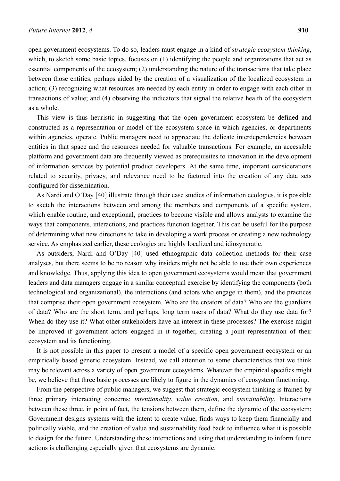open government ecosystems. To do so, leaders must engage in a kind of *strategic ecosystem thinking*, which, to sketch some basic topics, focuses on (1) identifying the people and organizations that act as essential components of the ecosystem; (2) understanding the nature of the transactions that take place between those entities, perhaps aided by the creation of a visualization of the localized ecosystem in action; (3) recognizing what resources are needed by each entity in order to engage with each other in transactions of value; and (4) observing the indicators that signal the relative health of the ecosystem as a whole.

This view is thus heuristic in suggesting that the open government ecosystem be defined and constructed as a representation or model of the ecosystem space in which agencies, or departments within agencies, operate. Public managers need to appreciate the delicate interdependencies between entities in that space and the resources needed for valuable transactions. For example, an accessible platform and government data are frequently viewed as prerequisites to innovation in the development of information services by potential product developers. At the same time, important considerations related to security, privacy, and relevance need to be factored into the creation of any data sets configured for dissemination.

As Nardi and O'Day [40] illustrate through their case studies of information ecologies, it is possible to sketch the interactions between and among the members and components of a specific system, which enable routine, and exceptional, practices to become visible and allows analysts to examine the ways that components, interactions, and practices function together. This can be useful for the purpose of determining what new directions to take in developing a work process or creating a new technology service. As emphasized earlier, these ecologies are highly localized and idiosyncratic.

As outsiders, Nardi and O'Day [40] used ethnographic data collection methods for their case analyses, but there seems to be no reason why insiders might not be able to use their own experiences and knowledge. Thus, applying this idea to open government ecosystems would mean that government leaders and data managers engage in a similar conceptual exercise by identifying the components (both technological and organizational), the interactions (and actors who engage in them), and the practices that comprise their open government ecosystem. Who are the creators of data? Who are the guardians of data? Who are the short term, and perhaps, long term users of data? What do they use data for? When do they use it? What other stakeholders have an interest in these processes? The exercise might be improved if government actors engaged in it together, creating a joint representation of their ecosystem and its functioning.

It is not possible in this paper to present a model of a specific open government ecosystem or an empirically based generic ecosystem. Instead, we call attention to some characteristics that we think may be relevant across a variety of open government ecosystems. Whatever the empirical specifics might be, we believe that three basic processes are likely to figure in the dynamics of ecosystem functioning.

From the perspective of public managers, we suggest that strategic ecosystem thinking is framed by three primary interacting concerns: *intentionality*, *value creation*, and *sustainability*. Interactions between these three, in point of fact, the tensions between them, define the dynamic of the ecosystem: Government designs systems with the intent to create value, finds ways to keep them financially and politically viable, and the creation of value and sustainability feed back to influence what it is possible to design for the future. Understanding these interactions and using that understanding to inform future actions is challenging especially given that ecosystems are dynamic.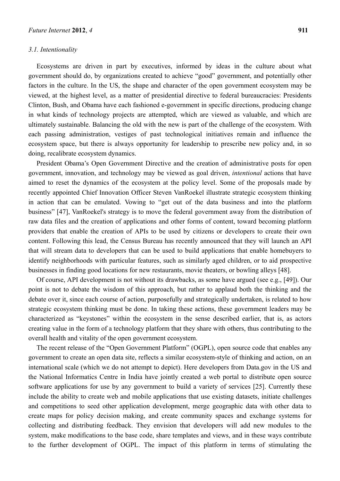## *3.1. Intentionality*

Ecosystems are driven in part by executives, informed by ideas in the culture about what government should do, by organizations created to achieve "good" government, and potentially other factors in the culture. In the US, the shape and character of the open government ecosystem may be viewed, at the highest level, as a matter of presidential directive to federal bureaucracies: Presidents Clinton, Bush, and Obama have each fashioned e-government in specific directions, producing change in what kinds of technology projects are attempted, which are viewed as valuable, and which are ultimately sustainable. Balancing the old with the new is part of the challenge of the ecosystem. With each passing administration, vestiges of past technological initiatives remain and influence the ecosystem space, but there is always opportunity for leadership to prescribe new policy and, in so doing, recalibrate ecosystem dynamics.

President Obama's Open Government Directive and the creation of administrative posts for open government, innovation, and technology may be viewed as goal driven, *intentional* actions that have aimed to reset the dynamics of the ecosystem at the policy level. Some of the proposals made by recently appointed Chief Innovation Officer Steven VanRoekel illustrate strategic ecosystem thinking in action that can be emulated. Vowing to "get out of the data business and into the platform business" [47], VanRoekel's strategy is to move the federal government away from the distribution of raw data files and the creation of applications and other forms of content, toward becoming platform providers that enable the creation of APIs to be used by citizens or developers to create their own content. Following this lead, the Census Bureau has recently announced that they will launch an API that will stream data to developers that can be used to build applications that enable homebuyers to identify neighborhoods with particular features, such as similarly aged children, or to aid prospective businesses in finding good locations for new restaurants, movie theaters, or bowling alleys [48].

Of course, API development is not without its drawbacks, as some have argued (see e.g., [49]). Our point is not to debate the wisdom of this approach, but rather to applaud both the thinking and the debate over it, since each course of action, purposefully and strategically undertaken, is related to how strategic ecosystem thinking must be done. In taking these actions, these government leaders may be characterized as "keystones" within the ecosystem in the sense described earlier, that is, as actors creating value in the form of a technology platform that they share with others, thus contributing to the overall health and vitality of the open government ecosystem.

The recent release of the "Open Government Platform" (OGPL), open source code that enables any government to create an open data site, reflects a similar ecosystem-style of thinking and action, on an international scale (which we do not attempt to depict). Here developers from Data.gov in the US and the National Informatics Centre in India have jointly created a web portal to distribute open source software applications for use by any government to build a variety of services [25]. Currently these include the ability to create web and mobile applications that use existing datasets, initiate challenges and competitions to seed other application development, merge geographic data with other data to create maps for policy decision making, and create community spaces and exchange systems for collecting and distributing feedback. They envision that developers will add new modules to the system, make modifications to the base code, share templates and views, and in these ways contribute to the further development of OGPL. The impact of this platform in terms of stimulating the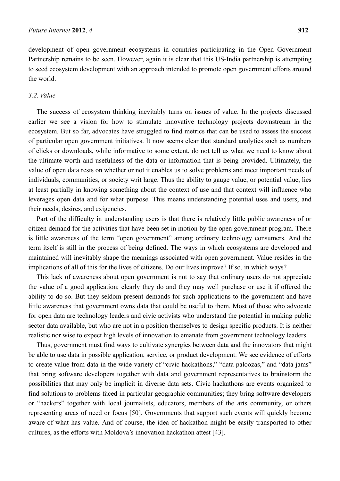development of open government ecosystems in countries participating in the Open Government Partnership remains to be seen. However, again it is clear that this US-India partnership is attempting to seed ecosystem development with an approach intended to promote open government efforts around the world.

# *3.2. Value*

The success of ecosystem thinking inevitably turns on issues of value. In the projects discussed earlier we see a vision for how to stimulate innovative technology projects downstream in the ecosystem. But so far, advocates have struggled to find metrics that can be used to assess the success of particular open government initiatives. It now seems clear that standard analytics such as numbers of clicks or downloads, while informative to some extent, do not tell us what we need to know about the ultimate worth and usefulness of the data or information that is being provided. Ultimately, the value of open data rests on whether or not it enables us to solve problems and meet important needs of individuals, communities, or society writ large. Thus the ability to gauge value, or potential value, lies at least partially in knowing something about the context of use and that context will influence who leverages open data and for what purpose. This means understanding potential uses and users, and their needs, desires, and exigencies.

Part of the difficulty in understanding users is that there is relatively little public awareness of or citizen demand for the activities that have been set in motion by the open government program. There is little awareness of the term "open government" among ordinary technology consumers. And the term itself is still in the process of being defined. The ways in which ecosystems are developed and maintained will inevitably shape the meanings associated with open government. Value resides in the implications of all of this for the lives of citizens. Do our lives improve? If so, in which ways?

This lack of awareness about open government is not to say that ordinary users do not appreciate the value of a good application; clearly they do and they may well purchase or use it if offered the ability to do so. But they seldom present demands for such applications to the government and have little awareness that government owns data that could be useful to them. Most of those who advocate for open data are technology leaders and civic activists who understand the potential in making public sector data available, but who are not in a position themselves to design specific products. It is neither realistic nor wise to expect high levels of innovation to emanate from government technology leaders.

Thus, government must find ways to cultivate synergies between data and the innovators that might be able to use data in possible application, service, or product development. We see evidence of efforts to create value from data in the wide variety of "civic hackathons," "data paloozas," and "data jams" that bring software developers together with data and government representatives to brainstorm the possibilities that may only be implicit in diverse data sets. Civic hackathons are events organized to find solutions to problems faced in particular geographic communities; they bring software developers or "hackers" together with local journalists, educators, members of the arts community, or others representing areas of need or focus [50]. Governments that support such events will quickly become aware of what has value. And of course, the idea of hackathon might be easily transported to other cultures, as the efforts with Moldova's innovation hackathon attest [43].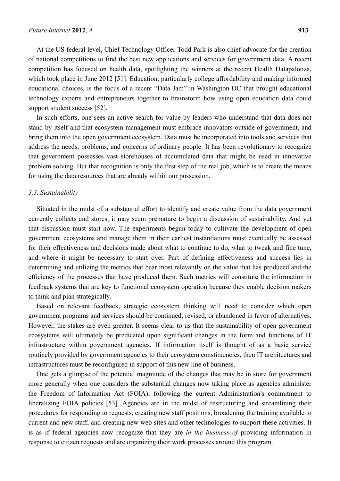At the US federal level, Chief Technology Officer Todd Park is also chief advocate for the creation of national competitions to find the best new applications and services for government data. A recent competition has focused on health data, spotlighting the winners at the recent Health Datapalooza, which took place in June 2012 [51]. Education, particularly college affordability and making informed educational choices, is the focus of a recent "Data Jam" in Washington DC that brought educational technology experts and entrepreneurs together to brainstorm how using open education data could support student success [52].

In such efforts, one sees an active search for value by leaders who understand that data does not stand by itself and that ecosystem management must embrace innovators outside of government, and bring them into the open government ecosystem. Data must be incorporated into tools and services that address the needs, problems, and concerns of ordinary people. It has been revolutionary to recognize that government possesses vast storehouses of accumulated data that might be used in innovative problem solving. But that recognition is only the first step of the real job, which is to create the means for using the data resources that are already within our possession.

## *3.3. Sustainability*

Situated in the midst of a substantial effort to identify and create value from the data government currently collects and stores, it may seem premature to begin a discussion of sustainability. And yet that discussion must start now. The experiments begun today to cultivate the development of open government ecosystems and manage them in their earliest instantiations must eventually be assessed for their effectiveness and decisions made about what to continue to do, what to tweak and fine tune, and where it might be necessary to start over. Part of defining effectiveness and success lies in determining and utilizing the metrics that bear most relevantly on the value that has produced and the efficiency of the processes that have produced them. Such metrics will constitute the information in feedback systems that are key to functional ecosystem operation because they enable decision makers to think and plan strategically.

Based on relevant feedback, strategic ecosystem thinking will need to consider which open government programs and services should be continued, revised, or abandoned in favor of alternatives. However, the stakes are even greater. It seems clear to us that the sustainability of open government ecosystems will ultimately be predicated upon significant changes in the form and functions of IT infrastructure within government agencies. If information itself is thought of as a basic service routinely provided by government agencies to their ecosystem constituencies, then IT architectures and infrastructures must be reconfigured in support of this new line of business.

One gets a glimpse of the potential magnitude of the changes that may be in store for government more generally when one considers the substantial changes now taking place as agencies administer the Freedom of Information Act (FOIA), following the current Administration's commitment to liberalizing FOIA policies [53]. Agencies are in the midst of restructuring and streamlining their procedures for responding to requests, creating new staff positions, broadening the training available to current and new staff, and creating new web sites and other technologies to support these activities. It is as if federal agencies now recognize that they are *in the business of* providing information in response to citizen requests and are organizing their work processes around this program.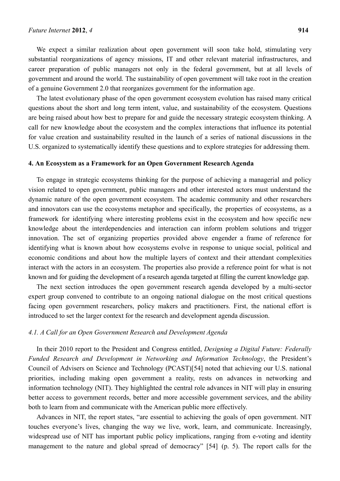We expect a similar realization about open government will soon take hold, stimulating very substantial reorganizations of agency missions, IT and other relevant material infrastructures, and career preparation of public managers not only in the federal government, but at all levels of government and around the world. The sustainability of open government will take root in the creation of a genuine Government 2.0 that reorganizes government for the information age.

The latest evolutionary phase of the open government ecosystem evolution has raised many critical questions about the short and long term intent, value, and sustainability of the ecosystem. Questions are being raised about how best to prepare for and guide the necessary strategic ecosystem thinking. A call for new knowledge about the ecosystem and the complex interactions that influence its potential for value creation and sustainability resulted in the launch of a series of national discussions in the U.S. organized to systematically identify these questions and to explore strategies for addressing them.

#### **4. An Ecosystem as a Framework for an Open Government Research Agenda**

To engage in strategic ecosystems thinking for the purpose of achieving a managerial and policy vision related to open government, public managers and other interested actors must understand the dynamic nature of the open government ecosystem. The academic community and other researchers and innovators can use the ecosystems metaphor and specifically, the properties of ecosystems, as a framework for identifying where interesting problems exist in the ecosystem and how specific new knowledge about the interdependencies and interaction can inform problem solutions and trigger innovation. The set of organizing properties provided above engender a frame of reference for identifying what is known about how ecosystems evolve in response to unique social, political and economic conditions and about how the multiple layers of context and their attendant complexities interact with the actors in an ecosystem. The properties also provide a reference point for what is not known and for guiding the development of a research agenda targeted at filling the current knowledge gap.

The next section introduces the open government research agenda developed by a multi-sector expert group convened to contribute to an ongoing national dialogue on the most critical questions facing open government researchers, policy makers and practitioners. First, the national effort is introduced to set the larger context for the research and development agenda discussion.

## *4.1. A Call for an Open Government Research and Development Agenda*

In their 2010 report to the President and Congress entitled, *Designing a Digital Future: Federally Funded Research and Development in Networking and Information Technology*, the President's Council of Advisers on Science and Technology (PCAST)[54] noted that achieving our U.S. national priorities, including making open government a reality, rests on advances in networking and information technology (NIT). They highlighted the central role advances in NIT will play in ensuring better access to government records, better and more accessible government services, and the ability both to learn from and communicate with the American public more effectively.

Advances in NIT, the report states, "are essential to achieving the goals of open government. NIT touches everyone's lives, changing the way we live, work, learn, and communicate. Increasingly, widespread use of NIT has important public policy implications, ranging from e-voting and identity management to the nature and global spread of democracy" [54] (p. 5). The report calls for the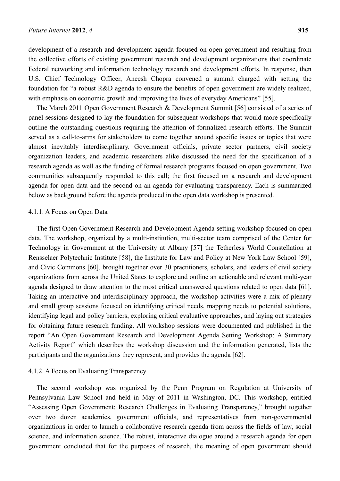development of a research and development agenda focused on open government and resulting from the collective efforts of existing government research and development organizations that coordinate Federal networking and information technology research and development efforts. In response, then U.S. Chief Technology Officer, Aneesh Chopra convened a summit charged with setting the foundation for "a robust R&D agenda to ensure the benefits of open government are widely realized, with emphasis on economic growth and improving the lives of everyday Americans" [55].

The March 2011 Open Government Research & Development Summit [56] consisted of a series of panel sessions designed to lay the foundation for subsequent workshops that would more specifically outline the outstanding questions requiring the attention of formalized research efforts. The Summit served as a call-to-arms for stakeholders to come together around specific issues or topics that were almost inevitably interdisciplinary. Government officials, private sector partners, civil society organization leaders, and academic researchers alike discussed the need for the specification of a research agenda as well as the funding of formal research programs focused on open government. Two communities subsequently responded to this call; the first focused on a research and development agenda for open data and the second on an agenda for evaluating transparency. Each is summarized below as background before the agenda produced in the open data workshop is presented.

## 4.1.1. A Focus on Open Data

The first Open Government Research and Development Agenda setting workshop focused on open data. The workshop, organized by a multi-institution, multi-sector team comprised of the Center for Technology in Government at the University at Albany [57] the Tetherless World Constellation at Rensselaer Polytechnic Institute [58], the Institute for Law and Policy at New York Law School [59], and Civic Commons [60], brought together over 30 practitioners, scholars, and leaders of civil society organizations from across the United States to explore and outline an actionable and relevant multi-year agenda designed to draw attention to the most critical unanswered questions related to open data [61]. Taking an interactive and interdisciplinary approach, the workshop activities were a mix of plenary and small group sessions focused on identifying critical needs, mapping needs to potential solutions, identifying legal and policy barriers, exploring critical evaluative approaches, and laying out strategies for obtaining future research funding. All workshop sessions were documented and published in the report "An Open Government Research and Development Agenda Setting Workshop: A Summary Activity Report" which describes the workshop discussion and the information generated, lists the participants and the organizations they represent, and provides the agenda [62].

## 4.1.2. A Focus on Evaluating Transparency

The second workshop was organized by the Penn Program on Regulation at University of Pennsylvania Law School and held in May of 2011 in Washington, DC. This workshop, entitled "Assessing Open Government: Research Challenges in Evaluating Transparency," brought together over two dozen academics, government officials, and representatives from non-governmental organizations in order to launch a collaborative research agenda from across the fields of law, social science, and information science. The robust, interactive dialogue around a research agenda for open government concluded that for the purposes of research, the meaning of open government should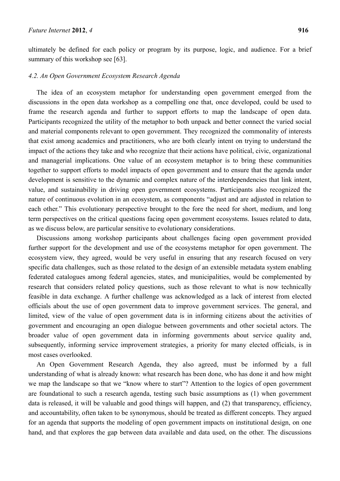ultimately be defined for each policy or program by its purpose, logic, and audience. For a brief summary of this workshop see [63].

# *4.2. An Open Government Ecosystem Research Agenda*

The idea of an ecosystem metaphor for understanding open government emerged from the discussions in the open data workshop as a compelling one that, once developed, could be used to frame the research agenda and further to support efforts to map the landscape of open data. Participants recognized the utility of the metaphor to both unpack and better connect the varied social and material components relevant to open government. They recognized the commonality of interests that exist among academics and practitioners, who are both clearly intent on trying to understand the impact of the actions they take and who recognize that their actions have political, civic, organizational and managerial implications. One value of an ecosystem metaphor is to bring these communities together to support efforts to model impacts of open government and to ensure that the agenda under development is sensitive to the dynamic and complex nature of the interdependencies that link intent, value, and sustainability in driving open government ecosystems. Participants also recognized the nature of continuous evolution in an ecosystem, as components "adjust and are adjusted in relation to each other." This evolutionary perspective brought to the fore the need for short, medium, and long term perspectives on the critical questions facing open government ecosystems. Issues related to data, as we discuss below, are particular sensitive to evolutionary considerations.

Discussions among workshop participants about challenges facing open government provided further support for the development and use of the ecosystems metaphor for open government. The ecosystem view, they agreed, would be very useful in ensuring that any research focused on very specific data challenges, such as those related to the design of an extensible metadata system enabling federated catalogues among federal agencies, states, and municipalities, would be complemented by research that considers related policy questions, such as those relevant to what is now technically feasible in data exchange. A further challenge was acknowledged as a lack of interest from elected officials about the use of open government data to improve government services. The general, and limited, view of the value of open government data is in informing citizens about the activities of government and encouraging an open dialogue between governments and other societal actors. The broader value of open government data in informing governments about service quality and, subsequently, informing service improvement strategies, a priority for many elected officials, is in most cases overlooked.

An Open Government Research Agenda, they also agreed, must be informed by a full understanding of what is already known: what research has been done, who has done it and how might we map the landscape so that we "know where to start"? Attention to the logics of open government are foundational to such a research agenda, testing such basic assumptions as (1) when government data is released, it will be valuable and good things will happen, and (2) that transparency, efficiency, and accountability, often taken to be synonymous, should be treated as different concepts. They argued for an agenda that supports the modeling of open government impacts on institutional design, on one hand, and that explores the gap between data available and data used, on the other. The discussions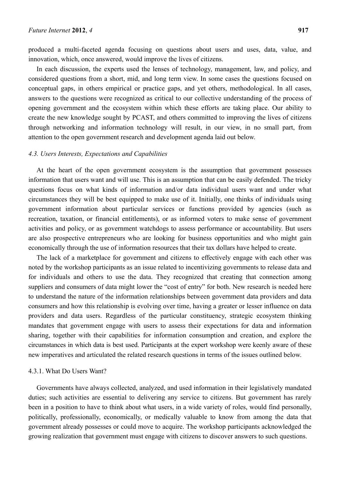produced a multi-faceted agenda focusing on questions about users and uses, data, value, and innovation, which, once answered, would improve the lives of citizens.

In each discussion, the experts used the lenses of technology, management, law, and policy, and considered questions from a short, mid, and long term view. In some cases the questions focused on conceptual gaps, in others empirical or practice gaps, and yet others, methodological. In all cases, answers to the questions were recognized as critical to our collective understanding of the process of opening government and the ecosystem within which these efforts are taking place. Our ability to create the new knowledge sought by PCAST, and others committed to improving the lives of citizens through networking and information technology will result, in our view, in no small part, from attention to the open government research and development agenda laid out below.

#### *4.3. Users Interests, Expectations and Capabilities*

At the heart of the open government ecosystem is the assumption that government possesses information that users want and will use. This is an assumption that can be easily defended. The tricky questions focus on what kinds of information and/or data individual users want and under what circumstances they will be best equipped to make use of it. Initially, one thinks of individuals using government information about particular services or functions provided by agencies (such as recreation, taxation, or financial entitlements), or as informed voters to make sense of government activities and policy, or as government watchdogs to assess performance or accountability. But users are also prospective entrepreneurs who are looking for business opportunities and who might gain economically through the use of information resources that their tax dollars have helped to create.

The lack of a marketplace for government and citizens to effectively engage with each other was noted by the workshop participants as an issue related to incentivizing governments to release data and for individuals and others to use the data. They recognized that creating that connection among suppliers and consumers of data might lower the "cost of entry" for both. New research is needed here to understand the nature of the information relationships between government data providers and data consumers and how this relationship is evolving over time, having a greater or lesser influence on data providers and data users. Regardless of the particular constituency, strategic ecosystem thinking mandates that government engage with users to assess their expectations for data and information sharing, together with their capabilities for information consumption and creation, and explore the circumstances in which data is best used. Participants at the expert workshop were keenly aware of these new imperatives and articulated the related research questions in terms of the issues outlined below.

#### 4.3.1. What Do Users Want?

Governments have always collected, analyzed, and used information in their legislatively mandated duties; such activities are essential to delivering any service to citizens. But government has rarely been in a position to have to think about what users, in a wide variety of roles, would find personally, politically, professionally, economically, or medically valuable to know from among the data that government already possesses or could move to acquire. The workshop participants acknowledged the growing realization that government must engage with citizens to discover answers to such questions.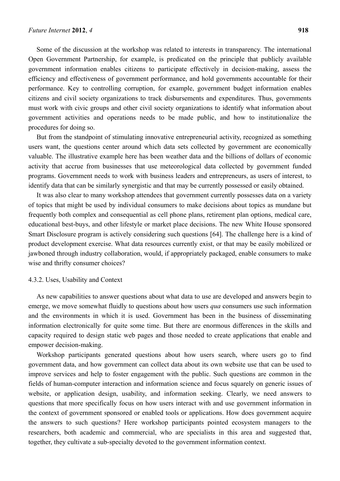Some of the discussion at the workshop was related to interests in transparency. The international Open Government Partnership, for example, is predicated on the principle that publicly available government information enables citizens to participate effectively in decision-making, assess the efficiency and effectiveness of government performance, and hold governments accountable for their performance. Key to controlling corruption, for example, government budget information enables citizens and civil society organizations to track disbursements and expenditures. Thus, governments must work with civic groups and other civil society organizations to identify what information about government activities and operations needs to be made public, and how to institutionalize the procedures for doing so.

But from the standpoint of stimulating innovative entrepreneurial activity, recognized as something users want, the questions center around which data sets collected by government are economically valuable. The illustrative example here has been weather data and the billions of dollars of economic activity that accrue from businesses that use meteorological data collected by government funded programs. Government needs to work with business leaders and entrepreneurs, as users of interest, to identify data that can be similarly synergistic and that may be currently possessed or easily obtained.

It was also clear to many workshop attendees that government currently possesses data on a variety of topics that might be used by individual consumers to make decisions about topics as mundane but frequently both complex and consequential as cell phone plans, retirement plan options, medical care, educational best-buys, and other lifestyle or market place decisions. The new White House sponsored Smart Disclosure program is actively considering such questions [64]. The challenge here is a kind of product development exercise. What data resources currently exist, or that may be easily mobilized or jawboned through industry collaboration, would, if appropriately packaged, enable consumers to make wise and thrifty consumer choices?

## 4.3.2. Uses, Usability and Context

As new capabilities to answer questions about what data to use are developed and answers begin to emerge, we move somewhat fluidly to questions about how users *qua* consumers use such information and the environments in which it is used. Government has been in the business of disseminating information electronically for quite some time. But there are enormous differences in the skills and capacity required to design static web pages and those needed to create applications that enable and empower decision-making.

Workshop participants generated questions about how users search, where users go to find government data, and how government can collect data about its own website use that can be used to improve services and help to foster engagement with the public. Such questions are common in the fields of human-computer interaction and information science and focus squarely on generic issues of website, or application design, usability, and information seeking. Clearly, we need answers to questions that more specifically focus on how users interact with and use government information in the context of government sponsored or enabled tools or applications. How does government acquire the answers to such questions? Here workshop participants pointed ecosystem managers to the researchers, both academic and commercial, who are specialists in this area and suggested that, together, they cultivate a sub-specialty devoted to the government information context.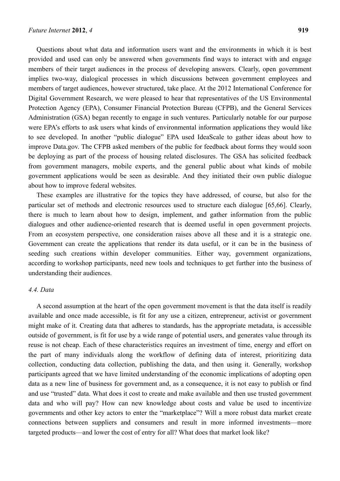Questions about what data and information users want and the environments in which it is best provided and used can only be answered when governments find ways to interact with and engage members of their target audiences in the process of developing answers. Clearly, open government implies two-way, dialogical processes in which discussions between government employees and members of target audiences, however structured, take place. At the 2012 International Conference for Digital Government Research, we were pleased to hear that representatives of the US Environmental Protection Agency (EPA), Consumer Financial Protection Bureau (CFPB), and the General Services Administration (GSA) began recently to engage in such ventures. Particularly notable for our purpose were EPA's efforts to ask users what kinds of environmental information applications they would like to see developed. In another "public dialogue" EPA used IdeaScale to gather ideas about how to improve Data.gov. The CFPB asked members of the public for feedback about forms they would soon be deploying as part of the process of housing related disclosures. The GSA has solicited feedback from government managers, mobile experts, and the general public about what kinds of mobile government applications would be seen as desirable. And they initiated their own public dialogue about how to improve federal websites.

These examples are illustrative for the topics they have addressed, of course, but also for the particular set of methods and electronic resources used to structure each dialogue [65,66]. Clearly, there is much to learn about how to design, implement, and gather information from the public dialogues and other audience-oriented research that is deemed useful in open government projects. From an ecosystem perspective, one consideration raises above all these and it is a strategic one. Government can create the applications that render its data useful, or it can be in the business of seeding such creations within developer communities. Either way, government organizations, according to workshop participants, need new tools and techniques to get further into the business of understanding their audiences.

## *4.4. Data*

A second assumption at the heart of the open government movement is that the data itself is readily available and once made accessible, is fit for any use a citizen, entrepreneur, activist or government might make of it. Creating data that adheres to standards, has the appropriate metadata, is accessible outside of government, is fit for use by a wide range of potential users, and generates value through its reuse is not cheap. Each of these characteristics requires an investment of time, energy and effort on the part of many individuals along the workflow of defining data of interest, prioritizing data collection, conducting data collection, publishing the data, and then using it. Generally, workshop participants agreed that we have limited understanding of the economic implications of adopting open data as a new line of business for government and, as a consequence, it is not easy to publish or find and use "trusted" data. What does it cost to create and make available and then use trusted government data and who will pay? How can new knowledge about costs and value be used to incentivize governments and other key actors to enter the "marketplace"? Will a more robust data market create connections between suppliers and consumers and result in more informed investments—more targeted products—and lower the cost of entry for all? What does that market look like?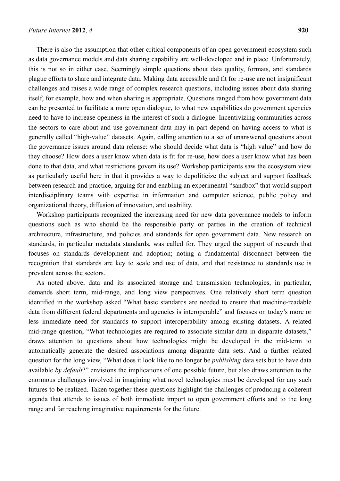There is also the assumption that other critical components of an open government ecosystem such as data governance models and data sharing capability are well-developed and in place. Unfortunately, this is not so in either case. Seemingly simple questions about data quality, formats, and standards plague efforts to share and integrate data. Making data accessible and fit for re-use are not insignificant challenges and raises a wide range of complex research questions, including issues about data sharing itself, for example, how and when sharing is appropriate. Questions ranged from how government data can be presented to facilitate a more open dialogue, to what new capabilities do government agencies need to have to increase openness in the interest of such a dialogue. Incentivizing communities across the sectors to care about and use government data may in part depend on having access to what is generally called "high-value" datasets. Again, calling attention to a set of unanswered questions about the governance issues around data release: who should decide what data is "high value" and how do they choose? How does a user know when data is fit for re-use, how does a user know what has been done to that data, and what restrictions govern its use? Workshop participants saw the ecosystem view as particularly useful here in that it provides a way to depoliticize the subject and support feedback between research and practice, arguing for and enabling an experimental "sandbox" that would support interdisciplinary teams with expertise in information and computer science, public policy and organizational theory, diffusion of innovation, and usability.

Workshop participants recognized the increasing need for new data governance models to inform questions such as who should be the responsible party or parties in the creation of technical architecture, infrastructure, and policies and standards for open government data. New research on standards, in particular metadata standards, was called for. They urged the support of research that focuses on standards development and adoption; noting a fundamental disconnect between the recognition that standards are key to scale and use of data, and that resistance to standards use is prevalent across the sectors.

As noted above, data and its associated storage and transmission technologies, in particular, demands short term, mid-range, and long view perspectives. One relatively short term question identified in the workshop asked "What basic standards are needed to ensure that machine-readable data from different federal departments and agencies is interoperable" and focuses on today's more or less immediate need for standards to support interoperability among existing datasets. A related mid-range question, "What technologies are required to associate similar data in disparate datasets," draws attention to questions about how technologies might be developed in the mid-term to automatically generate the desired associations among disparate data sets. And a further related question for the long view, "What does it look like to no longer be *publishing* data sets but to have data available *by default*?" envisions the implications of one possible future, but also draws attention to the enormous challenges involved in imagining what novel technologies must be developed for any such futures to be realized. Taken together these questions highlight the challenges of producing a coherent agenda that attends to issues of both immediate import to open government efforts and to the long range and far reaching imaginative requirements for the future.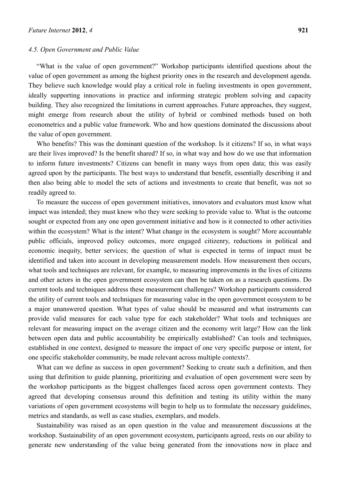#### *4.5. Open Government and Public Value*

"What is the value of open government?" Workshop participants identified questions about the value of open government as among the highest priority ones in the research and development agenda. They believe such knowledge would play a critical role in fueling investments in open government, ideally supporting innovations in practice and informing strategic problem solving and capacity building. They also recognized the limitations in current approaches. Future approaches, they suggest, might emerge from research about the utility of hybrid or combined methods based on both econometrics and a public value framework. Who and how questions dominated the discussions about the value of open government.

Who benefits? This was the dominant question of the workshop. Is it citizens? If so, in what ways are their lives improved? Is the benefit shared? If so, in what way and how do we use that information to inform future investments? Citizens can benefit in many ways from open data; this was easily agreed upon by the participants. The best ways to understand that benefit, essentially describing it and then also being able to model the sets of actions and investments to create that benefit, was not so readily agreed to.

To measure the success of open government initiatives, innovators and evaluators must know what impact was intended; they must know who they were seeking to provide value to. What is the outcome sought or expected from any one open government initiative and how is it connected to other activities within the ecosystem? What is the intent? What change in the ecosystem is sought? More accountable public officials, improved policy outcomes, more engaged citizenry, reductions in political and economic inequity, better services; the question of what is expected in terms of impact must be identified and taken into account in developing measurement models. How measurement then occurs, what tools and techniques are relevant, for example, to measuring improvements in the lives of citizens and other actors in the open government ecosystem can then be taken on as a research questions. Do current tools and techniques address these measurement challenges? Workshop participants considered the utility of current tools and techniques for measuring value in the open government ecosystem to be a major unanswered question. What types of value should be measured and what instruments can provide valid measures for each value type for each stakeholder? What tools and techniques are relevant for measuring impact on the average citizen and the economy writ large? How can the link between open data and public accountability be empirically established? Can tools and techniques, established in one context, designed to measure the impact of one very specific purpose or intent, for one specific stakeholder community, be made relevant across multiple contexts?.

What can we define as success in open government? Seeking to create such a definition, and then using that definition to guide planning, prioritizing and evaluation of open government were seen by the workshop participants as the biggest challenges faced across open government contexts. They agreed that developing consensus around this definition and testing its utility within the many variations of open government ecosystems will begin to help us to formulate the necessary guidelines, metrics and standards, as well as case studies, exemplars, and models.

Sustainability was raised as an open question in the value and measurement discussions at the workshop. Sustainability of an open government ecosystem, participants agreed, rests on our ability to generate new understanding of the value being generated from the innovations now in place and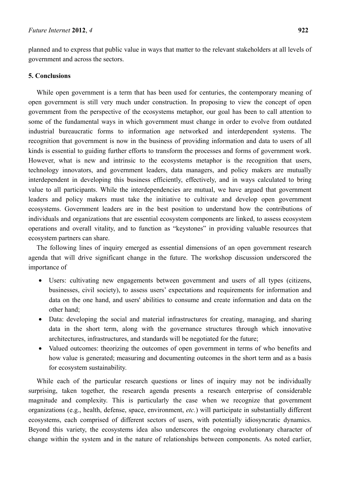planned and to express that public value in ways that matter to the relevant stakeholders at all levels of government and across the sectors.

# **5. Conclusions**

While open government is a term that has been used for centuries, the contemporary meaning of open government is still very much under construction. In proposing to view the concept of open government from the perspective of the ecosystems metaphor, our goal has been to call attention to some of the fundamental ways in which government must change in order to evolve from outdated industrial bureaucratic forms to information age networked and interdependent systems. The recognition that government is now in the business of providing information and data to users of all kinds is essential to guiding further efforts to transform the processes and forms of government work. However, what is new and intrinsic to the ecosystems metaphor is the recognition that users, technology innovators, and government leaders, data managers, and policy makers are mutually interdependent in developing this business efficiently, effectively, and in ways calculated to bring value to all participants. While the interdependencies are mutual, we have argued that government leaders and policy makers must take the initiative to cultivate and develop open government ecosystems. Government leaders are in the best position to understand how the contributions of individuals and organizations that are essential ecosystem components are linked, to assess ecosystem operations and overall vitality, and to function as "keystones" in providing valuable resources that ecosystem partners can share.

The following lines of inquiry emerged as essential dimensions of an open government research agenda that will drive significant change in the future. The workshop discussion underscored the importance of

- Users: cultivating new engagements between government and users of all types (citizens, businesses, civil society), to assess users' expectations and requirements for information and data on the one hand, and users' abilities to consume and create information and data on the other hand;
- Data: developing the social and material infrastructures for creating, managing, and sharing data in the short term, along with the governance structures through which innovative architectures, infrastructures, and standards will be negotiated for the future;
- Valued outcomes: theorizing the outcomes of open government in terms of who benefits and how value is generated; measuring and documenting outcomes in the short term and as a basis for ecosystem sustainability.

While each of the particular research questions or lines of inquiry may not be individually surprising, taken together, the research agenda presents a research enterprise of considerable magnitude and complexity. This is particularly the case when we recognize that government organizations (e.g., health, defense, space, environment, *etc.*) will participate in substantially different ecosystems, each comprised of different sectors of users, with potentially idiosyncratic dynamics. Beyond this variety, the ecosystems idea also underscores the ongoing evolutionary character of change within the system and in the nature of relationships between components. As noted earlier,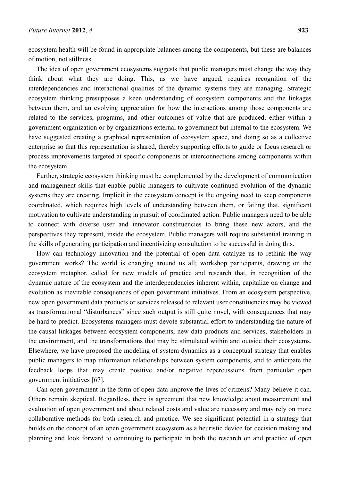ecosystem health will be found in appropriate balances among the components, but these are balances of motion, not stillness.

The idea of open government ecosystems suggests that public managers must change the way they think about what they are doing. This, as we have argued, requires recognition of the interdependencies and interactional qualities of the dynamic systems they are managing. Strategic ecosystem thinking presupposes a keen understanding of ecosystem components and the linkages between them, and an evolving appreciation for how the interactions among those components are related to the services, programs, and other outcomes of value that are produced, either within a government organization or by organizations external to government but internal to the ecosystem. We have suggested creating a graphical representation of ecosystem space, and doing so as a collective enterprise so that this representation is shared, thereby supporting efforts to guide or focus research or process improvements targeted at specific components or interconnections among components within the ecosystem.

Further, strategic ecosystem thinking must be complemented by the development of communication and management skills that enable public managers to cultivate continued evolution of the dynamic systems they are creating. Implicit in the ecosystem concept is the ongoing need to keep components coordinated, which requires high levels of understanding between them, or failing that, significant motivation to cultivate understanding in pursuit of coordinated action. Public managers need to be able to connect with diverse user and innovator constituencies to bring these new actors, and the perspectives they represent, inside the ecosystem. Public managers will require substantial training in the skills of generating participation and incentivizing consultation to be successful in doing this.

How can technology innovation and the potential of open data catalyze us to rethink the way government works? The world is changing around us all; workshop participants, drawing on the ecosystem metaphor, called for new models of practice and research that, in recognition of the dynamic nature of the ecosystem and the interdependencies inherent within, capitalize on change and evolution as inevitable consequences of open government initiatives. From an ecosystem perspective, new open government data products or services released to relevant user constituencies may be viewed as transformational "disturbances" since such output is still quite novel, with consequences that may be hard to predict. Ecosystems managers must devote substantial effort to understanding the nature of the causal linkages between ecosystem components, new data products and services, stakeholders in the environment, and the transformations that may be stimulated within and outside their ecosystems. Elsewhere, we have proposed the modeling of system dynamics as a conceptual strategy that enables public managers to map information relationships between system components, and to anticipate the feedback loops that may create positive and/or negative repercussions from particular open government initiatives [67].

Can open government in the form of open data improve the lives of citizens? Many believe it can. Others remain skeptical. Regardless, there is agreement that new knowledge about measurement and evaluation of open government and about related costs and value are necessary and may rely on more collaborative methods for both research and practice. We see significant potential in a strategy that builds on the concept of an open government ecosystem as a heuristic device for decision making and planning and look forward to continuing to participate in both the research on and practice of open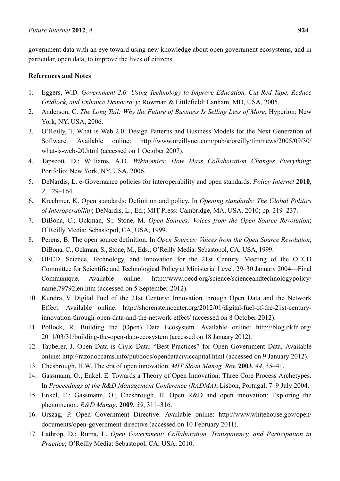government data with an eye toward using new knowledge about open government ecosystems, and in particular, open data, to improve the lives of citizens.

# **References and Notes**

- 1. Eggers, W.D. *Government 2.0: Using Technology to Improve Education, Cut Red Tape, Reduce Gridlock, and Enhance Democracy*; Rowman & Littlefield: Lanham, MD, USA, 2005.
- 2. Anderson, C. *The Long Tail: Why the Future of Business Is Selling Less of More*; Hyperion: New York, NY, USA, 2006.
- 3. O'Reilly, T. What is Web 2.0: Design Patterns and Business Models for the Next Generation of Software. Available online: http://www.oreillynet.com/pub/a/oreilly/tim/news/2005/09/30/ what-is-web-20.html (accessed on 1 October 2007).
- 4. Tapscott, D.; Williams, A.D. *Wikinomics: How Mass Collaboration Changes Everything*; Portfolio: New York, NY, USA, 2006.
- 5. DeNardis, L. e-Governance policies for interoperability and open standards. *Policy Internet* **2010**, *2*, 129–164.
- 6. Krechmer, K. Open standards: Definition and policy. In *Opening standards: The Global Politics of Interoperability*; DeNardis, L., Ed.; MIT Press: Cambridge, MA, USA, 2010; pp. 219–237.
- 7. DiBona, C.; Ockman, S.; Stone, M. *Open Sources: Voices from the Open Source Revolution*; O'Reilly Media: Sebastopol, CA, USA, 1999.
- 8. Perens, B. The open source definition. In *Open Sources: Voices from the Open Source Revolution*; DiBona, C., Ockman, S., Stone, M., Eds.; O'Reilly Media: Sebastopol, CA, USA, 1999.
- 9. OECD. Science, Technology, and Innovation for the 21st Century. Meeting of the OECD Committee for Scientific and Technological Policy at Ministerial Level, 29–30 January 2004—Final Communique. Available online: http://www.oecd.org/science/scienceandtechnologypolicy/ name,79792,en.htm (accessed on 5 September 2012).
- 10. Kundra, V. Digital Fuel of the 21st Century: Innovation through Open Data and the Network Effect. Available online: http://shorensteincenter.org/2012/01/digital-fuel-of-the-21st-centuryinnovation-through-open-data-and-the-network-effect/ (accessed on 8 October 2012).
- 11. Pollock, R. Building the (Open) Data Ecosystem. Available online: http://blog.okfn.org/ 2011/03/31/building-the-open-data-ecosystem (accessed on 18 January 2012).
- 12. Tauberer, J. Open Data is Civic Data: "Best Practices" for Open Government Data. Available online: http://razor.occams.info/pubdocs/opendataciviccapital.html (accessed on 9 January 2012).
- 13. Chesbrough, H.W. The era of open innovation. *MIT Sloan Manag. Rev.* **2003**, *44*, 35–41.
- 14. Gassmann, O.; Enkel, E. Towards a Theory of Open Innovation: Three Core Process Archetypes. In *Proceedings of the R&D Management Conference (RADMA)*, Lisbon, Portugal, 7–9 July 2004.
- 15. Enkel, E.; Gassmann, O.; Chesbrough, H. Open R&D and open innovation: Exploring the phenomenon. *R&D Manag.* **2009**, *39*, 311–316.
- 16. Orszag, P. Open Government Directive. Available online: http://www.whitehouse.gov/open/ documents/open-government-directive (accessed on 10 February 2011).
- 17. Lathrop, D.; Ruma, L. *Open Government: Collaboration, Transparency, and Participation in Practice*; O'Reilly Media: Sebastopol, CA, USA, 2010.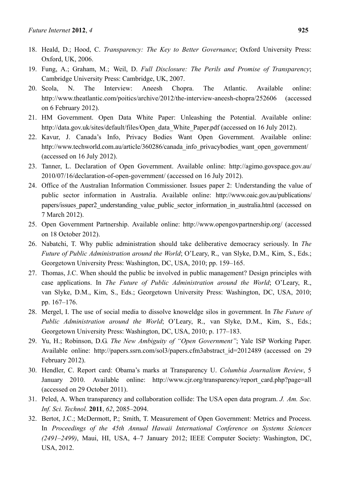- 18. Heald, D.; Hood, C. *Transparency: The Key to Better Governance*; Oxford University Press: Oxford, UK, 2006.
- 19. Fung, A.; Graham, M.; Weil, D. *Full Disclosure: The Perils and Promise of Transparency*; Cambridge University Press: Cambridge, UK, 2007.
- 20. Scola, N. The Interview: Aneesh Chopra. The Atlantic. Available online: http://www.theatlantic.com/poitics/archive/2012/the-interview-aneesh-chopra/252606 (accessed on 6 February 2012).
- 21. HM Government. Open Data White Paper: Unleashing the Potential. Available online: http://data.gov.uk/sites/default/files/Open\_data\_White\_Paper.pdf (accessed on 16 July 2012).
- 22. Kavur, J. Canada's Info, Privacy Bodies Want Open Government. Available online: http://www.techworld.com.au/article/360286/canada\_info\_privacybodies\_want\_open\_government/ (accessed on 16 July 2012).
- 23. Tanner, L. Declaration of Open Government. Available online: http://agimo.govspace.gov.au/ 2010/07/16/declaration-of-open-government/ (accessed on 16 July 2012).
- 24. Office of the Australian Information Commissioner. Issues paper 2: Understanding the value of public sector information in Australia. Available online: http://www.oaic.gov.au/publications/ papers/issues\_paper2\_understanding\_value\_public\_sector\_information\_in\_australia.html (accessed on 7 March 2012).
- 25. Open Government Partnership. Available online: http://www.opengovpartnership.org/ (accessed on 18 October 2012).
- 26. Nabatchi, T. Why public administration should take deliberative democracy seriously. In *The Future of Public Administration around the World*; O'Leary, R., van Slyke, D.M., Kim, S., Eds.; Georgetown University Press: Washington, DC, USA, 2010; pp. 159–165.
- 27. Thomas, J.C. When should the public be involved in public management? Design principles with case applications. In *The Future of Public Administration around the World*; O'Leary, R., van Slyke, D.M., Kim, S., Eds.; Georgetown University Press: Washington, DC, USA, 2010; pp. 167–176.
- 28. Mergel, I. The use of social media to dissolve knoweldge silos in government. In *The Future of Public Administration around the World*; O'Leary, R., van Slyke, D.M., Kim, S., Eds.; Georgetown University Press: Washington, DC, USA, 2010; p. 177–183.
- 29. Yu, H.; Robinson, D.G. *The New Ambiguity of "Open Government"*; Yale ISP Working Paper. Available online: http://papers.ssrn.com/sol3/papers.cfm3abstract\_id=2012489 (accessed on 29 February 2012).
- 30. Hendler, C. Report card: Obama's marks at Transparency U. *Columbia Journalism Review*, 5 January 2010. Available online: http://www.cjr.org/transparency/report\_card.php?page=all (accessed on 29 October 2011).
- 31. Peled, A. When transparency and collaboration collide: The USA open data program. *J. Am. Soc. Inf. Sci. Technol.* **2011**, *62*, 2085–2094.
- 32. Bertot, J.C.; McDermott, P.; Smith, T. Measurement of Open Government: Metrics and Process. In *Proceedings of the 45th Annual Hawaii International Conference on Systems Sciences (2491–2499)*, Maui, HI, USA, 4–7 January 2012; IEEE Computer Society: Washington, DC, USA, 2012.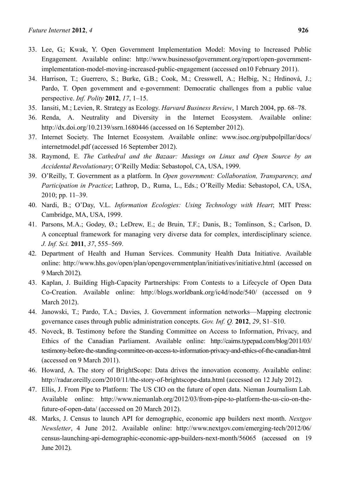- 33. Lee, G.; Kwak, Y. Open Government Implementation Model: Moving to Increased Public Engagement. Available online: http://www.businessofgovernment.org/report/open-governmentimplementation-model-moving-increased-public-engagement (accessed on10 February 2011).
- 34. Harrison, T.; Guerrero, S.; Burke, G.B.; Cook, M.; Cresswell, A.; Helbig, N.; Hrdinová, J.; Pardo, T. Open government and e-government: Democratic challenges from a public value perspective. *Inf. Polity* **2012**, *17*, 1–15.
- 35. Iansiti, M.; Levien, R. Strategy as Ecology. *Harvard Business Review*, 1 March 2004, pp. 68–78.
- 36. Renda, A. Neutrality and Diversity in the Internet Ecosystem. Available online: http://dx.doi.org/10.2139/ssrn.1680446 (accessed on 16 September 2012).
- 37. Internet Society. The Internet Ecosystem. Available online: www.isoc.org/pubpolpillar/docs/ internetmodel.pdf (accessed 16 September 2012).
- 38. Raymond, E. *The Cathedral and the Bazaar: Musings on Linux and Open Source by an Accidental Revolutionary*; O'Reilly Media: Sebastopol, CA, USA, 1999.
- 39. O'Reilly, T. Government as a platform. In *Open government: Collaboration, Transparency, and Participation in Practice*; Lathrop, D., Ruma, L., Eds.; O'Reilly Media: Sebastopol, CA, USA, 2010; pp. 11–39.
- 40. Nardi, B.; O'Day, V.L. *Information Ecologies: Using Technology with Heart*; MIT Press: Cambridge, MA, USA, 1999.
- 41. Parsons, M.A.; Godøy, Ø.; LeDrew, E.; de Bruin, T.F.; Danis, B.; Tomlinson, S.; Carlson, D. A conceptual framework for managing very diverse data for complex, interdisciplinary science. *J. Inf. Sci.* **2011**, *37*, 555–569.
- 42. Department of Health and Human Services. Community Health Data Initiative. Available online: http://www.hhs.gov/open/plan/opengovernmentplan/initiatives/initiative.html (accessed on 9 March 2012).
- 43. Kaplan, J. Building High-Capacity Partnerships: From Contests to a Lifecycle of Open Data Co-Creation. Available online: http://blogs.worldbank.org/ic4d/node/540/ (accessed on 9 March 2012).
- 44. Janowski, T.; Pardo, T.A.; Davies, J. Government information networks—Mapping electronic governance cases through public administration concepts. *Gov. Inf. Q.* **2012**, *29*, S1–S10.
- 45. Noveck, B. Testimony before the Standing Committee on Access to Information, Privacy, and Ethics of the Canadian Parliament. Available online: http://cairns.typepad.com/blog/2011/03/ testimony-before-the-standing-committee-on-access-to-information-privacy-and-ethics-of-the-canadian-html (accessed on 9 March 2011).
- 46. Howard, A. The story of BrightScope: Data drives the innovation economy. Available online: http://radar.oreilly.com/2010/11/the-story-of-brightscope-data.html (accessed on 12 July 2012).
- 47. Ellis, J. From Pipe to Platform: The US CIO on the future of open data. Nieman Journalism Lab. Available online: http://www.niemanlab.org/2012/03/from-pipe-to-platform-the-us-cio-on-thefuture-of-open-data/ (accessed on 20 March 2012).
- 48. Marks, J. Census to launch API for demographic, economic app builders next month. *Nextgov Newsletter*, 4 June 2012. Available online: http://www.nextgov.com/emerging-tech/2012/06/ census-launching-api-demographic-economic-app-builders-next-month/56065 (accessed on 19 June 2012).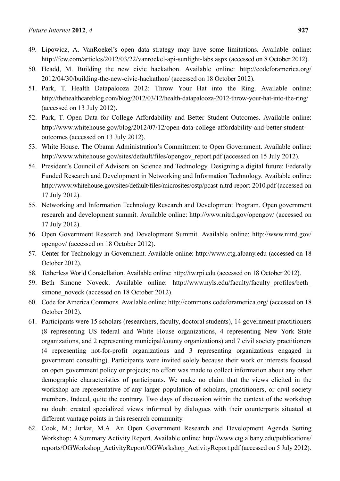- 49. Lipowicz, A. VanRoekel's open data strategy may have some limitations. Available online: http://fcw.com/articles/2012/03/22/vanroekel-api-sunlight-labs.aspx (accessed on 8 October 2012).
- 50. Headd, M. Building the new civic hackathon. Available online: http://codeforamerica.org/ 2012/04/30/building-the-new-civic-hackathon/ (accessed on 18 October 2012).
- 51. Park, T. Health Datapalooza 2012: Throw Your Hat into the Ring. Available online: http://thehealthcareblog.com/blog/2012/03/12/health-datapalooza-2012-throw-your-hat-into-the-ring/ (accessed on 13 July 2012).
- 52. Park, T. Open Data for College Affordability and Better Student Outcomes. Available online: http://www.whitehouse.gov/blog/2012/07/12/open-data-college-affordability-and-better-studentoutcomes (accessed on 13 July 2012).
- 53. White House. The Obama Administration's Commitment to Open Government. Available online: http://www.whitehouse.gov/sites/default/files/opengov\_report.pdf (accessed on 15 July 2012).
- 54. President's Council of Advisors on Science and Technology. Designing a digital future: Federally Funded Research and Development in Networking and Information Technology. Available online: http://www.whitehouse.gov/sites/default/files/microsites/ostp/pcast-nitrd-report-2010.pdf (accessed on 17 July 2012).
- 55. Networking and Information Technology Research and Development Program. Open government research and development summit. Available online: http://www.nitrd.gov/opengov/ (accessed on 17 July 2012).
- 56. Open Government Research and Development Summit. Available online: http://www.nitrd.gov/ opengov/ (accessed on 18 October 2012).
- 57. Center for Technology in Government. Available online: http://www.ctg.albany.edu (accessed on 18 October 2012).
- 58. Tetherless World Constellation. Available online: http://tw.rpi.edu (accessed on 18 October 2012).
- 59. Beth Simone Noveck. Available online: http://www.nyls.edu/faculty/faculty profiles/beth simone noveck (accessed on 18 October 2012).
- 60. Code for America Commons. Available online: http://commons.codeforamerica.org/ (accessed on 18 October 2012).
- 61. Participants were 15 scholars (researchers, faculty, doctoral students), 14 government practitioners (8 representing US federal and White House organizations, 4 representing New York State organizations, and 2 representing municipal/county organizations) and 7 civil society practitioners (4 representing not-for-profit organizations and 3 representing organizations engaged in government consulting). Participants were invited solely because their work or interests focused on open government policy or projects; no effort was made to collect information about any other demographic characteristics of participants. We make no claim that the views elicited in the workshop are representative of any larger population of scholars, practitioners, or civil society members. Indeed, quite the contrary. Two days of discussion within the context of the workshop no doubt created specialized views informed by dialogues with their counterparts situated at different vantage points in this research community.
- 62. Cook, M.; Jurkat, M.A. An Open Government Research and Development Agenda Setting Workshop: A Summary Activity Report. Available online: http://www.ctg.albany.edu/publications/ reports/OGWorkshop\_ActivityReport/OGWorkshop\_ActivityReport.pdf (accessed on 5 July 2012).